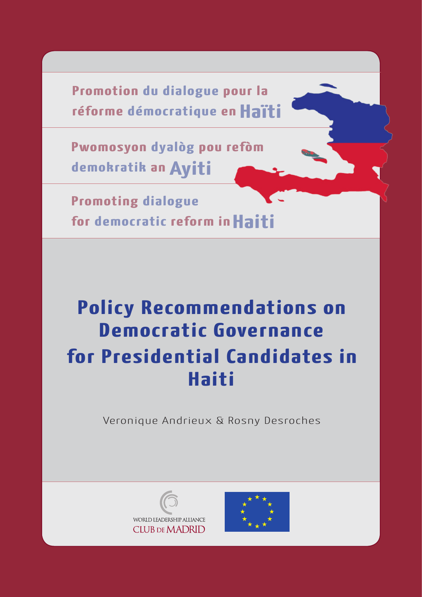**Promotion du dialogue pour la réforme démocratique en Haïti**

**Pwomosyon dyalòg pou refòm demokratik an Ayiti**

**Promoting dialogue for democratic reform in Haiti**

# **Policy Recommendations on Democratic Governance for Presidential Candidates in Haiti**

Veronique Andrieux & Rosny Desroches



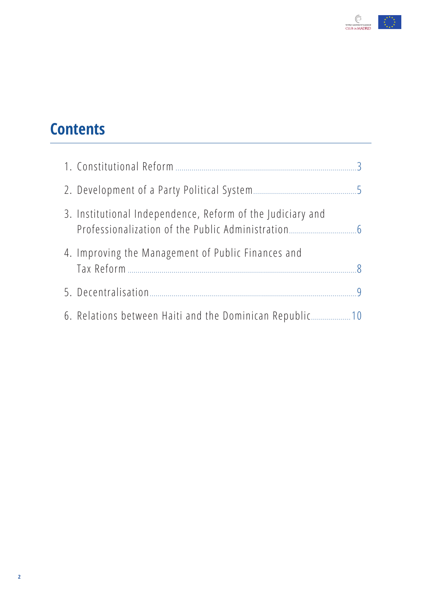

# **Contents**

| 3. Institutional Independence, Reform of the Judiciary and |  |
|------------------------------------------------------------|--|
| 4. Improving the Management of Public Finances and         |  |
|                                                            |  |
| 6. Relations between Haiti and the Dominican Republic 10   |  |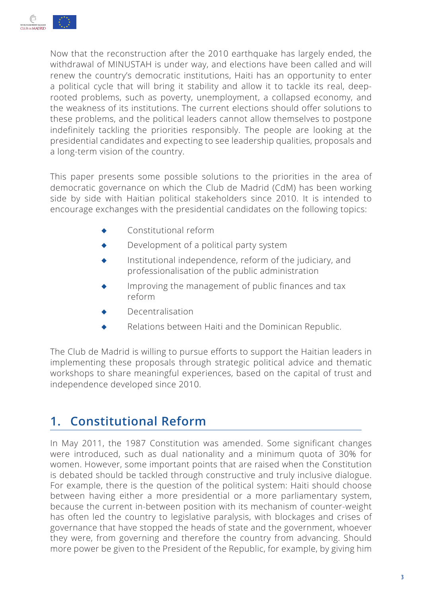<span id="page-2-0"></span>

Now that the reconstruction after the 2010 earthquake has largely ended, the withdrawal of MINUSTAH is under way, and elections have been called and will renew the country's democratic institutions, Haiti has an opportunity to enter a political cycle that will bring it stability and allow it to tackle its real, deeprooted problems, such as poverty, unemployment, a collapsed economy, and the weakness of its institutions. The current elections should offer solutions to these problems, and the political leaders cannot allow themselves to postpone indefinitely tackling the priorities responsibly. The people are looking at the presidential candidates and expecting to see leadership qualities, proposals and a long-term vision of the country.

This paper presents some possible solutions to the priorities in the area of democratic governance on which the Club de Madrid (CdM) has been working side by side with Haitian political stakeholders since 2010. It is intended to encourage exchanges with the presidential candidates on the following topics:

- Constitutional reform
- Development of a political party system
- ◆ Institutional independence, reform of the judiciary, and professionalisation of the public administration
- Improving the management of public finances and tax reform
- Decentralisation
- Relations between Haiti and the Dominican Republic.

The Club de Madrid is willing to pursue efforts to support the Haitian leaders in implementing these proposals through strategic political advice and thematic workshops to share meaningful experiences, based on the capital of trust and independence developed since 2010.

# **1. Constitutional Reform**

In May 2011, the 1987 Constitution was amended. Some significant changes were introduced, such as dual nationality and a minimum quota of 30% for women. However, some important points that are raised when the Constitution is debated should be tackled through constructive and truly inclusive dialogue. For example, there is the question of the political system: Haiti should choose between having either a more presidential or a more parliamentary system, because the current in-between position with its mechanism of counter-weight has often led the country to legislative paralysis, with blockages and crises of governance that have stopped the heads of state and the government, whoever they were, from governing and therefore the country from advancing. Should more power be given to the President of the Republic, for example, by giving him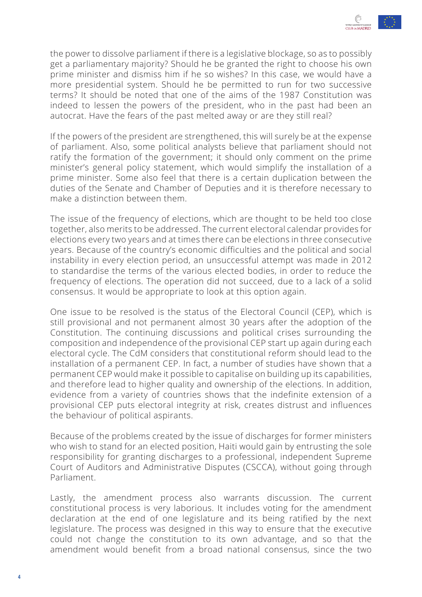

the power to dissolve parliament if there is a legislative blockage, so as to possibly get a parliamentary majority? Should he be granted the right to choose his own prime minister and dismiss him if he so wishes? In this case, we would have a more presidential system. Should he be permitted to run for two successive terms? It should be noted that one of the aims of the 1987 Constitution was indeed to lessen the powers of the president, who in the past had been an autocrat. Have the fears of the past melted away or are they still real?

If the powers of the president are strengthened, this will surely be at the expense of parliament. Also, some political analysts believe that parliament should not ratify the formation of the government; it should only comment on the prime minister's general policy statement, which would simplify the installation of a prime minister. Some also feel that there is a certain duplication between the duties of the Senate and Chamber of Deputies and it is therefore necessary to make a distinction between them.

The issue of the frequency of elections, which are thought to be held too close together, also merits to be addressed. The current electoral calendar provides for elections every two years and at times there can be elections in three consecutive years. Because of the country's economic difficulties and the political and social instability in every election period, an unsuccessful attempt was made in 2012 to standardise the terms of the various elected bodies, in order to reduce the frequency of elections. The operation did not succeed, due to a lack of a solid consensus. It would be appropriate to look at this option again.

One issue to be resolved is the status of the Electoral Council (CEP), which is still provisional and not permanent almost 30 years after the adoption of the Constitution. The continuing discussions and political crises surrounding the composition and independence of the provisional CEP start up again during each electoral cycle. The CdM considers that constitutional reform should lead to the installation of a permanent CEP. In fact, a number of studies have shown that a permanent CEP would make it possible to capitalise on building up its capabilities, and therefore lead to higher quality and ownership of the elections. In addition, evidence from a variety of countries shows that the indefinite extension of a provisional CEP puts electoral integrity at risk, creates distrust and influences the behaviour of political aspirants.

Because of the problems created by the issue of discharges for former ministers who wish to stand for an elected position, Haiti would gain by entrusting the sole responsibility for granting discharges to a professional, independent Supreme Court of Auditors and Administrative Disputes (CSCCA), without going through Parliament.

Lastly, the amendment process also warrants discussion. The current constitutional process is very laborious. It includes voting for the amendment declaration at the end of one legislature and its being ratified by the next legislature. The process was designed in this way to ensure that the executive could not change the constitution to its own advantage, and so that the amendment would benefit from a broad national consensus, since the two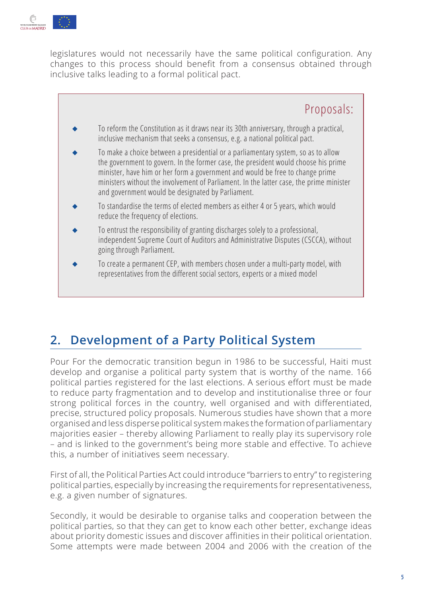<span id="page-4-0"></span>

legislatures would not necessarily have the same political configuration. Any changes to this process should benefit from a consensus obtained through inclusive talks leading to a formal political pact.



# **2. Development of a Party Political System**

Pour For the democratic transition begun in 1986 to be successful, Haiti must develop and organise a political party system that is worthy of the name. 166 political parties registered for the last elections. A serious effort must be made to reduce party fragmentation and to develop and institutionalise three or four strong political forces in the country, well organised and with differentiated, precise, structured policy proposals. Numerous studies have shown that a more organised and less disperse political system makes the formation of parliamentary majorities easier – thereby allowing Parliament to really play its supervisory role – and is linked to the government's being more stable and effective. To achieve this, a number of initiatives seem necessary.

First of all, the Political Parties Act could introduce "barriers to entry" to registering political parties, especially by increasing the requirements for representativeness, e.g. a given number of signatures.

Secondly, it would be desirable to organise talks and cooperation between the political parties, so that they can get to know each other better, exchange ideas about priority domestic issues and discover affinities in their political orientation. Some attempts were made between 2004 and 2006 with the creation of the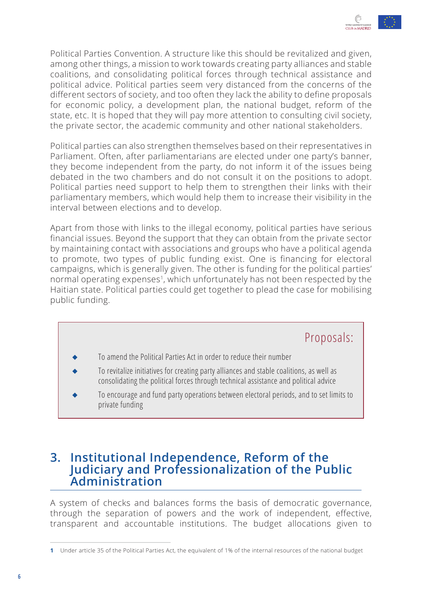

<span id="page-5-0"></span>Political Parties Convention. A structure like this should be revitalized and given, among other things, a mission to work towards creating party alliances and stable coalitions, and consolidating political forces through technical assistance and political advice. Political parties seem very distanced from the concerns of the different sectors of society, and too often they lack the ability to define proposals for economic policy, a development plan, the national budget, reform of the state, etc. It is hoped that they will pay more attention to consulting civil society, the private sector, the academic community and other national stakeholders.

Political parties can also strengthen themselves based on their representatives in Parliament. Often, after parliamentarians are elected under one party's banner, they become independent from the party, do not inform it of the issues being debated in the two chambers and do not consult it on the positions to adopt. Political parties need support to help them to strengthen their links with their parliamentary members, which would help them to increase their visibility in the interval between elections and to develop.

Apart from those with links to the illegal economy, political parties have serious financial issues. Beyond the support that they can obtain from the private sector by maintaining contact with associations and groups who have a political agenda to promote, two types of public funding exist. One is financing for electoral campaigns, which is generally given. The other is funding for the political parties' normal operating expenses<sup>1</sup>, which unfortunately has not been respected by the Haitian state. Political parties could get together to plead the case for mobilising public funding.

- Proposals:
- To amend the Political Parties Act in order to reduce their number
- To revitalize initiatives for creating party alliances and stable coalitions, as well as consolidating the political forces through technical assistance and political advice
- To encourage and fund party operations between electoral periods, and to set limits to private funding

#### **3. Institutional Independence, Reform of the Judiciary and Professionalization of the Public Administration**

A system of checks and balances forms the basis of democratic governance, through the separation of powers and the work of independent, effective, transparent and accountable institutions. The budget allocations given to

**<sup>1</sup>** Under article 35 of the Political Parties Act, the equivalent of 1% of the internal resources of the national budget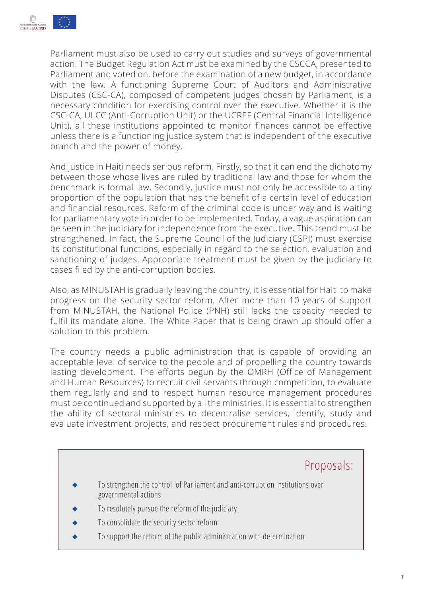

Parliament must also be used to carry out studies and surveys of governmental action. The Budget Regulation Act must be examined by the CSCCA, presented to Parliament and voted on, before the examination of a new budget, in accordance with the law. A functioning Supreme Court of Auditors and Administrative Disputes (CSC-CA), composed of competent judges chosen by Parliament, is a necessary condition for exercising control over the executive. Whether it is the CSC-CA, ULCC (Anti-Corruption Unit) or the UCREF (Central Financial Intelligence Unit), all these institutions appointed to monitor finances cannot be effective unless there is a functioning justice system that is independent of the executive branch and the power of money.

And justice in Haiti needs serious reform. Firstly, so that it can end the dichotomy between those whose lives are ruled by traditional law and those for whom the benchmark is formal law. Secondly, justice must not only be accessible to a tiny proportion of the population that has the benefit of a certain level of education and financial resources. Reform of the criminal code is under way and is waiting for parliamentary vote in order to be implemented. Today, a vague aspiration can be seen in the judiciary for independence from the executive. This trend must be strengthened. In fact, the Supreme Council of the Judiciary (CSPJ) must exercise its constitutional functions, especially in regard to the selection, evaluation and sanctioning of judges. Appropriate treatment must be given by the judiciary to cases filed by the anti-corruption bodies.

Also, as MINUSTAH is gradually leaving the country, it is essential for Haiti to make progress on the security sector reform. After more than 10 years of support from MINUSTAH, the National Police (PNH) still lacks the capacity needed to fulfil its mandate alone. The White Paper that is being drawn up should offer a solution to this problem.

The country needs a public administration that is capable of providing an acceptable level of service to the people and of propelling the country towards lasting development. The efforts begun by the OMRH (Office of Management and Human Resources) to recruit civil servants through competition, to evaluate them regularly and and to respect human resource management procedures must be continued and supported by all the ministries. It is essential to strengthen the ability of sectoral ministries to decentralise services, identify, study and evaluate investment projects, and respect procurement rules and procedures.

# Proposals: To strengthen the control of Parliament and anti-corruption institutions over governmental actions To resolutely pursue the reform of the judiciary To consolidate the security sector reform To support the reform of the public administration with determination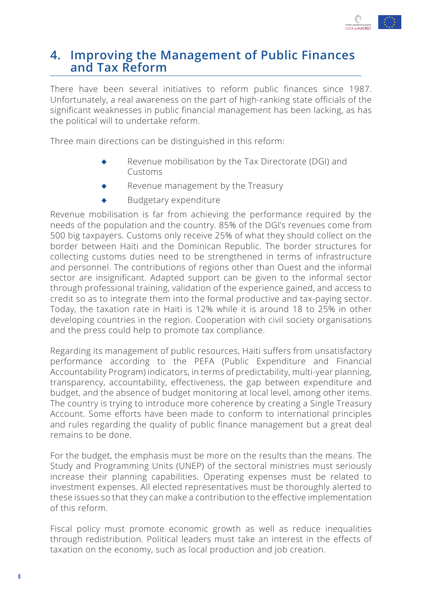

#### <span id="page-7-0"></span>**4. Improving the Management of Public Finances and Tax Reform**

There have been several initiatives to reform public finances since 1987. Unfortunately, a real awareness on the part of high-ranking state officials of the significant weaknesses in public financial management has been lacking, as has the political will to undertake reform.

Three main directions can be distinguished in this reform:

- Revenue mobilisation by the Tax Directorate (DGI) and Customs
- Revenue management by the Treasury
- **Budgetary expenditure**

Revenue mobilisation is far from achieving the performance required by the needs of the population and the country. 85% of the DGI's revenues come from 500 big taxpayers. Customs only receive 25% of what they should collect on the border between Haiti and the Dominican Republic. The border structures for collecting customs duties need to be strengthened in terms of infrastructure and personnel. The contributions of regions other than Ouest and the informal sector are insignificant. Adapted support can be given to the informal sector through professional training, validation of the experience gained, and access to credit so as to integrate them into the formal productive and tax-paying sector. Today, the taxation rate in Haiti is 12% while it is around 18 to 25% in other developing countries in the region. Cooperation with civil society organisations and the press could help to promote tax compliance.

Regarding its management of public resources, Haiti suffers from unsatisfactory performance according to the PEFA (Public Expenditure and Financial Accountability Program) indicators, in terms of predictability, multi-year planning, transparency, accountability, effectiveness, the gap between expenditure and budget, and the absence of budget monitoring at local level, among other items. The country is trying to introduce more coherence by creating a Single Treasury Account. Some efforts have been made to conform to international principles and rules regarding the quality of public finance management but a great deal remains to be done.

For the budget, the emphasis must be more on the results than the means. The Study and Programming Units (UNEP) of the sectoral ministries must seriously increase their planning capabilities. Operating expenses must be related to investment expenses. All elected representatives must be thoroughly alerted to these issues so that they can make a contribution to the effective implementation of this reform.

Fiscal policy must promote economic growth as well as reduce inequalities through redistribution. Political leaders must take an interest in the effects of taxation on the economy, such as local production and job creation.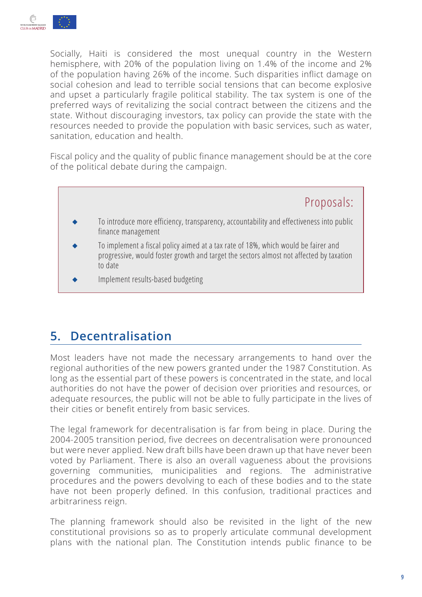<span id="page-8-0"></span>

Socially, Haiti is considered the most unequal country in the Western hemisphere, with 20% of the population living on 1.4% of the income and 2% of the population having 26% of the income. Such disparities inflict damage on social cohesion and lead to terrible social tensions that can become explosive and upset a particularly fragile political stability. The tax system is one of the preferred ways of revitalizing the social contract between the citizens and the state. Without discouraging investors, tax policy can provide the state with the resources needed to provide the population with basic services, such as water, sanitation, education and health.

Fiscal policy and the quality of public finance management should be at the core of the political debate during the campaign.

Proposals:

- To introduce more efficiency, transparency, accountability and effectiveness into public finance management
- To implement a fiscal policy aimed at a tax rate of 18%, which would be fairer and progressive, would foster growth and target the sectors almost not affected by taxation to date
- Implement results-based budgeting

# **5. Decentralisation**

Most leaders have not made the necessary arrangements to hand over the regional authorities of the new powers granted under the 1987 Constitution. As long as the essential part of these powers is concentrated in the state, and local authorities do not have the power of decision over priorities and resources, or adequate resources, the public will not be able to fully participate in the lives of their cities or benefit entirely from basic services.

The legal framework for decentralisation is far from being in place. During the 2004-2005 transition period, five decrees on decentralisation were pronounced but were never applied. New draft bills have been drawn up that have never been voted by Parliament. There is also an overall vagueness about the provisions governing communities, municipalities and regions. The administrative procedures and the powers devolving to each of these bodies and to the state have not been properly defined. In this confusion, traditional practices and arbitrariness reign.

The planning framework should also be revisited in the light of the new constitutional provisions so as to properly articulate communal development plans with the national plan. The Constitution intends public finance to be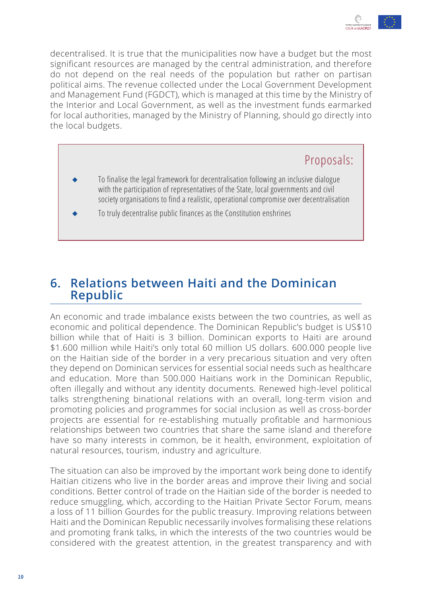

<span id="page-9-0"></span>decentralised. It is true that the municipalities now have a budget but the most significant resources are managed by the central administration, and therefore do not depend on the real needs of the population but rather on partisan political aims. The revenue collected under the Local Government Development and Management Fund (FGDCT), which is managed at this time by the Ministry of the Interior and Local Government, as well as the investment funds earmarked for local authorities, managed by the Ministry of Planning, should go directly into the local budgets.

### Proposals:

- To finalise the legal framework for decentralisation following an inclusive dialogue with the participation of representatives of the State, local governments and civil society organisations to find a realistic, operational compromise over decentralisation
- To truly decentralise public finances as the Constitution enshrines

#### **6. Relations between Haiti and the Dominican Republic**

An economic and trade imbalance exists between the two countries, as well as economic and political dependence. The Dominican Republic's budget is US\$10 billion while that of Haiti is 3 billion. Dominican exports to Haiti are around \$1.600 million while Haiti's only total 60 million US dollars. 600.000 people live on the Haitian side of the border in a very precarious situation and very often they depend on Dominican services for essential social needs such as healthcare and education. More than 500.000 Haitians work in the Dominican Republic, often illegally and without any identity documents. Renewed high-level political talks strengthening binational relations with an overall, long-term vision and promoting policies and programmes for social inclusion as well as cross-border projects are essential for re-establishing mutually profitable and harmonious relationships between two countries that share the same island and therefore have so many interests in common, be it health, environment, exploitation of natural resources, tourism, industry and agriculture.

The situation can also be improved by the important work being done to identify Haitian citizens who live in the border areas and improve their living and social conditions. Better control of trade on the Haitian side of the border is needed to reduce smuggling, which, according to the Haitian Private Sector Forum, means a loss of 11 billion Gourdes for the public treasury. Improving relations between Haiti and the Dominican Republic necessarily involves formalising these relations and promoting frank talks, in which the interests of the two countries would be considered with the greatest attention, in the greatest transparency and with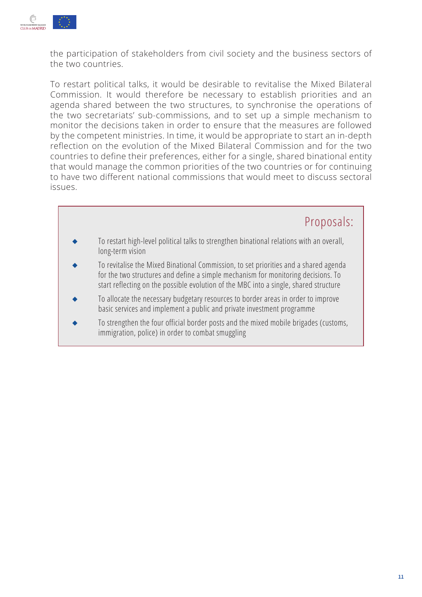

the participation of stakeholders from civil society and the business sectors of the two countries.

To restart political talks, it would be desirable to revitalise the Mixed Bilateral Commission. It would therefore be necessary to establish priorities and an agenda shared between the two structures, to synchronise the operations of the two secretariats' sub-commissions, and to set up a simple mechanism to monitor the decisions taken in order to ensure that the measures are followed by the competent ministries. In time, it would be appropriate to start an in-depth reflection on the evolution of the Mixed Bilateral Commission and for the two countries to define their preferences, either for a single, shared binational entity that would manage the common priorities of the two countries or for continuing to have two different national commissions that would meet to discuss sectoral issues.